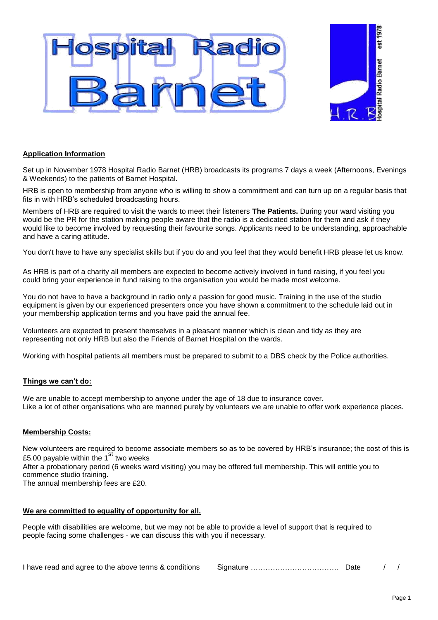

## **Application Information**

Set up in November 1978 Hospital Radio Barnet (HRB) broadcasts its programs 7 days a week (Afternoons, Evenings & Weekends) to the patients of Barnet Hospital.

HRB is open to membership from anyone who is willing to show a commitment and can turn up on a regular basis that fits in with HRB's scheduled broadcasting hours.

Members of HRB are required to visit the wards to meet their listeners **The Patients.** During your ward visiting you would be the PR for the station making people aware that the radio is a dedicated station for them and ask if they would like to become involved by requesting their favourite songs. Applicants need to be understanding, approachable and have a caring attitude.

You don't have to have any specialist skills but if you do and you feel that they would benefit HRB please let us know.

As HRB is part of a charity all members are expected to become actively involved in fund raising, if you feel you could bring your experience in fund raising to the organisation you would be made most welcome.

You do not have to have a background in radio only a passion for good music. Training in the use of the studio equipment is given by our experienced presenters once you have shown a commitment to the schedule laid out in your membership application terms and you have paid the annual fee.

Volunteers are expected to present themselves in a pleasant manner which is clean and tidy as they are representing not only HRB but also the Friends of Barnet Hospital on the wards.

Working with hospital patients all members must be prepared to submit to a DBS check by the Police authorities.

#### **Things we can't do:**

We are unable to accept membership to anyone under the age of 18 due to insurance cover. Like a lot of other organisations who are manned purely by volunteers we are unable to offer work experience places.

#### **Membership Costs:**

New volunteers are required to become associate members so as to be covered by HRB's insurance; the cost of this is £5.00 payable within the  $1<sup>st</sup>$  two weeks After a probationary period (6 weeks ward visiting) you may be offered full membership. This will entitle you to

commence studio training. The annual membership fees are £20.

### **We are committed to equality of opportunity for all.**

People with disabilities are welcome, but we may not be able to provide a level of support that is required to people facing some challenges - we can discuss this with you if necessary.

| I have read and agree to the above terms & conditions |  |  |  |  |
|-------------------------------------------------------|--|--|--|--|
|-------------------------------------------------------|--|--|--|--|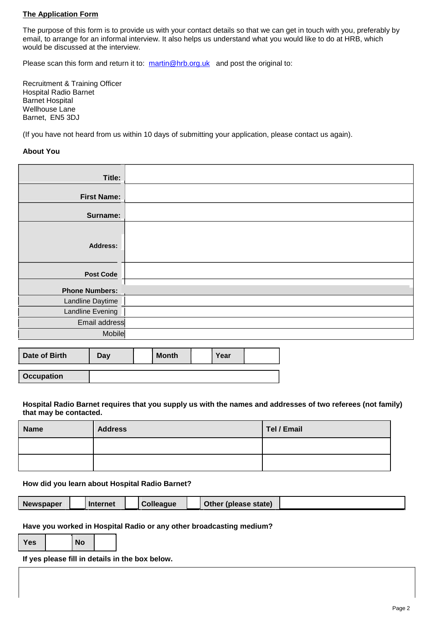## **The Application Form**

The purpose of this form is to provide us with your contact details so that we can get in touch with you, preferably by email, to arrange for an informal interview. It also helps us understand what you would like to do at HRB, which would be discussed at the interview.

Please scan this form and return it to: [martin@hrb.org.uk](mailto:martin@hrb.org.uk) and post the original to:

Recruitment & Training Officer Hospital Radio Barnet Barnet Hospital Wellhouse Lane Barnet, EN5 3DJ

(If you have not heard from us within 10 days of submitting your application, please contact us again).

#### **About You**

| Title:                  |  |
|-------------------------|--|
| <b>First Name:</b>      |  |
| Surname:                |  |
| <b>Address:</b>         |  |
| <b>Post Code</b>        |  |
| <b>Phone Numbers:</b>   |  |
| Landline Daytime        |  |
| <b>Landline Evening</b> |  |
| Email address           |  |
| Mobile                  |  |

| Date of Birth     | Day | <b>Month</b> | Year |  |
|-------------------|-----|--------------|------|--|
|                   |     |              |      |  |
| <b>Occupation</b> |     |              |      |  |

**Hospital Radio Barnet requires that you supply us with the names and addresses of two referees (not family) that may be contacted.**

| <b>Name</b> | <b>Address</b> | Tel / Email |
|-------------|----------------|-------------|
|             |                |             |
|             |                |             |

**How did you learn about Hospital Radio Barnet?**

| <b>Newspaper</b> |  | Internet |  | <b>Colleague</b> |  | Other (please state) |  |
|------------------|--|----------|--|------------------|--|----------------------|--|
|------------------|--|----------|--|------------------|--|----------------------|--|

**Have you worked in Hospital Radio or any other broadcasting medium?**

| Yes |  |
|-----|--|

**If yes please fill in details in the box below.**

**Yes No**